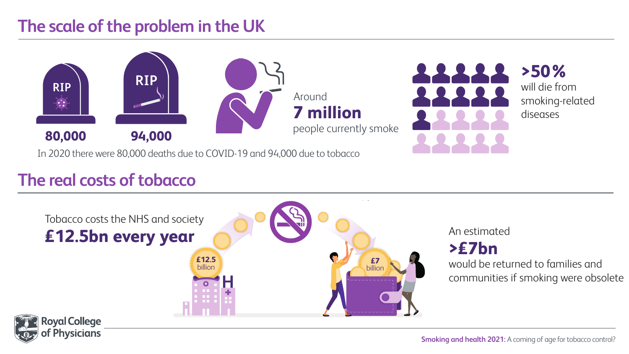#### **The scale of the problem in the UK**



In 2020 there were 80,000 deaths due to COVID-19 and 94,000 due to tobacco

#### **The real costs of tobacco**

**Physicians** 



#### **>£7bn**

would be returned to families and communities if smoking were obsolete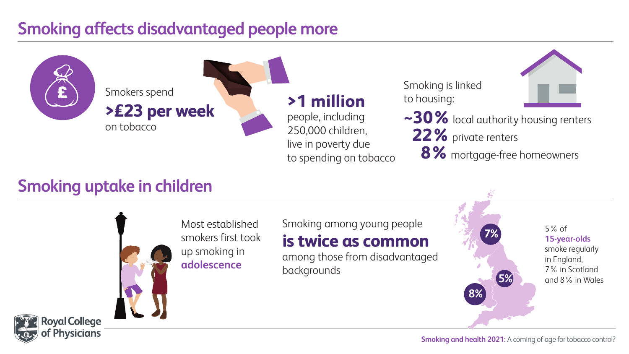#### **Smoking affects disadvantaged people more**



#### **Smoking uptake in children**

**Royal College Physicians** 



Most established smokers first took up smoking in **adolescence** 

Smoking among young people **is twice as common**

among those from disadvantaged backgrounds

5% of **15-year-olds**  smoke regularly in England, 7% in Scotland **5%** and 8% in Wales

**7%**

**8%**

**Smoking and health 2021:** A coming of age for tobacco control?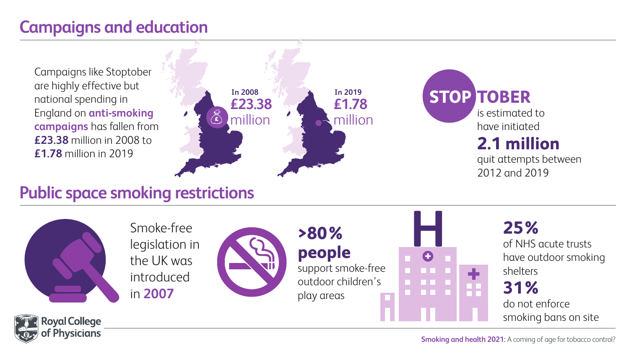#### **Campaigns and education**

Campaigns like Stoptober are highly effective but national spending in England on **anti-smoking campaigns** has fallen from **£23.38** million in 2008 to **£1.78** million in 2019



# **In 2019 STOP TOBER**

 is estimated to have initiated  **2.1 million**

 quit attempts between 2012 and 2019

### **Public space smoking restrictions**



**Physicians**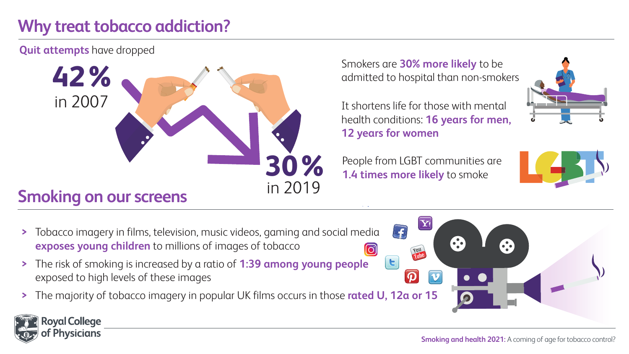## **Why treat tobacco addiction?**

**Quit attempts** have dropped



Smokers are **30% more likely** to be admitted to hospital than non-smokers

It shortens life for those with mental health conditions: **16 years for men, 12 years for women** 

People from LGBT communities are **1.4 times more likely** to smoke



- **>** Tobacco imagery in films, television, music videos, gaming and social media  **exposes young children** to millions of images of tobacco
- **>** The risk of smoking is increased by a ratio of **1:39 among young people** exposed to high levels of these images
- **>** The majority of tobacco imagery in popular UK films occurs in those **rated U, 12a or 15**